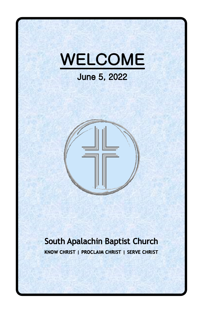



#### South Apalachin Baptist Church KNOW CHRIST | PROCLAIM CHRIST | SERVE CHRIST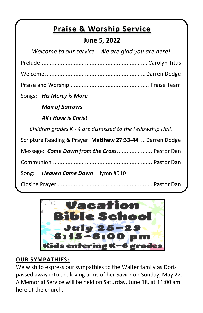## **Praise & Worship Service**

#### **June 5, 2022**

| Welcome to our service - We are glad you are here!          |  |  |
|-------------------------------------------------------------|--|--|
|                                                             |  |  |
|                                                             |  |  |
|                                                             |  |  |
| Songs: His Mercy is More                                    |  |  |
| <b>Man of Sorrows</b>                                       |  |  |
| All I Have is Christ                                        |  |  |
| Children grades K - 4 are dismissed to the Fellowship Hall. |  |  |
| Scripture Reading & Prayer: Matthew 27:33-44  Darren Dodge  |  |  |
| Message: Come Down from the Cross Pastor Dan                |  |  |
|                                                             |  |  |
| Song: Heaven Came Down Hymn #510                            |  |  |
|                                                             |  |  |



#### **OUR SYMPATHIES:**

We wish to express our sympathies to the Walter family as Doris passed away into the loving arms of her Savior on Sunday, May 22. A Memorial Service will be held on Saturday, June 18, at 11:00 am here at the church.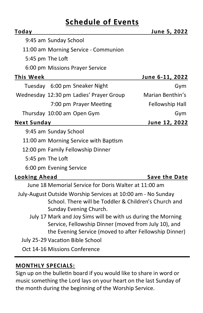### **Schedule of Events**

| Today                |                                                              | June 5, 2022           |  |
|----------------------|--------------------------------------------------------------|------------------------|--|
|                      | 9:45 am Sunday School                                        |                        |  |
|                      | 11:00 am Morning Service - Communion                         |                        |  |
|                      | 5:45 pm The Loft                                             |                        |  |
|                      | 6:00 pm Missions Prayer Service                              |                        |  |
| <b>This Week</b>     |                                                              | <u>June 6-11, 2022</u> |  |
|                      | Tuesday 6:00 pm Sneaker Night                                | Gym                    |  |
|                      | Wednesday 12:30 pm Ladies' Prayer Group                      | Marian Benthin's       |  |
|                      | 7:00 pm Prayer Meeting                                       | Fellowship Hall        |  |
|                      | Thursday 10:00 am Open Gym                                   | Gym                    |  |
| <b>Next Sunday</b>   |                                                              | June 12, 2022          |  |
|                      | 9:45 am Sunday School                                        |                        |  |
|                      | 11:00 am Morning Service with Baptism                        |                        |  |
|                      | 12:00 pm Family Fellowship Dinner                            |                        |  |
| 5:45 pm The Loft     |                                                              |                        |  |
|                      | 6:00 pm Evening Service                                      |                        |  |
| <b>Looking Ahead</b> |                                                              | <b>Save the Date</b>   |  |
|                      | June 18 Memorial Service for Doris Walter at 11:00 am        |                        |  |
|                      | July-August Outside Worship Services at 10:00 am - No Sunday |                        |  |
|                      | School. There will be Toddler & Children's Church and        |                        |  |
|                      | Sunday Evening Church.                                       |                        |  |
|                      | July 17 Mark and Joy Sims will be with us during the Morning |                        |  |
|                      | Service, Fellowship Dinner (moved from July 10), and         |                        |  |
|                      | the Evening Service (moved to after Fellowship Dinner)       |                        |  |
|                      | July 25-29 Vacation Bible School                             |                        |  |
|                      | Oct 14-16 Missions Conference                                |                        |  |

#### **MONTHLY SPECIALS:**

Sign up on the bulletin board if you would like to share in word or music something the Lord lays on your heart on the last Sunday of the month during the beginning of the Worship Service.